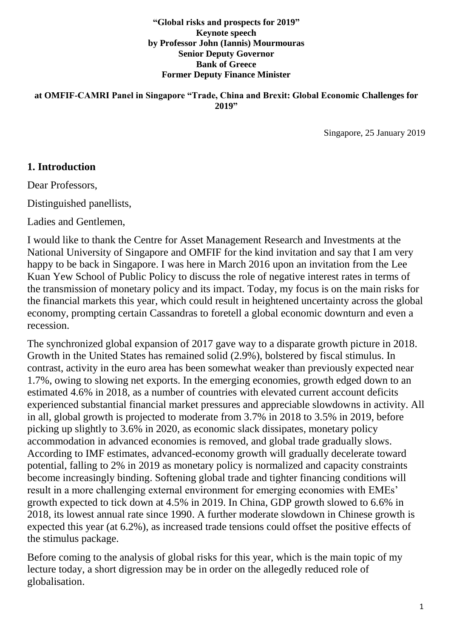**"Global risks and prospects for 2019" Keynote speech by Professor John (Iannis) Mourmouras Senior Deputy Governor Bank of Greece Former Deputy Finance Minister**

**at OMFIF-CAMRI Panel in Singapore "Trade, China and Brexit: Global Economic Challenges for 2019"**

Singapore, 25 January 2019

#### **1. Introduction**

Dear Professors,

Distinguished panellists,

Ladies and Gentlemen,

I would like to thank the Centre for Asset Management Research and Investments at the National University of Singapore and OMFIF for the kind invitation and say that I am very happy to be back in Singapore. I was here in March 2016 upon an invitation from the Lee Kuan Yew School of Public Policy to discuss the role of negative interest rates in terms of the transmission of monetary policy and its impact. Today, my focus is on the main risks for the financial markets this year, which could result in heightened uncertainty across the global economy, prompting certain Cassandras to foretell a global economic downturn and even a recession.

The synchronized global expansion of 2017 gave way to a disparate growth picture in 2018. Growth in the United States has remained solid (2.9%), bolstered by fiscal stimulus. In contrast, activity in the euro area has been somewhat weaker than previously expected near 1.7%, owing to slowing net exports. In the emerging economies, growth edged down to an estimated 4.6% in 2018, as a number of countries with elevated current account deficits experienced substantial financial market pressures and appreciable slowdowns in activity. All in all, global growth is projected to moderate from 3.7% in 2018 to 3.5% in 2019, before picking up slightly to 3.6% in 2020, as economic slack dissipates, monetary policy accommodation in advanced economies is removed, and global trade gradually slows. According to IMF estimates, advanced-economy growth will gradually decelerate toward potential, falling to 2% in 2019 as monetary policy is normalized and capacity constraints become increasingly binding. Softening global trade and tighter financing conditions will result in a more challenging external environment for emerging economies with EMEs' growth expected to tick down at 4.5% in 2019. In China, GDP growth slowed to 6.6% in 2018, its lowest annual rate since 1990. A further moderate slowdown in Chinese growth is expected this year (at 6.2%), as increased trade tensions could offset the positive effects of the stimulus package.

Before coming to the analysis of global risks for this year, which is the main topic of my lecture today, a short digression may be in order on the allegedly reduced role of globalisation.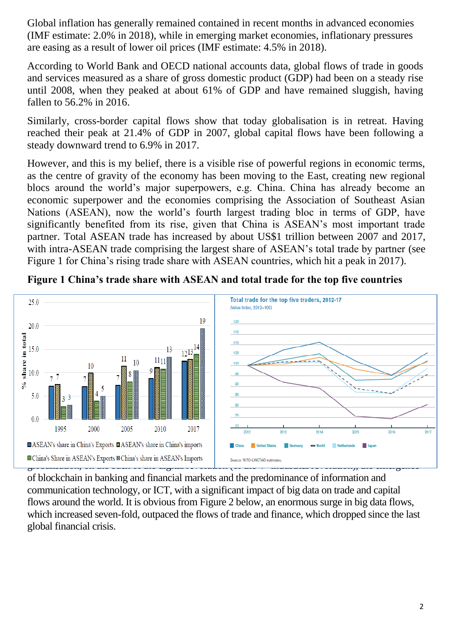Global inflation has generally remained contained in recent months in advanced economies (IMF estimate: 2.0% in 2018), while in emerging market economies, inflationary pressures are easing as a result of lower oil prices (IMF estimate: 4.5% in 2018).

According to World Bank and OECD national accounts data, global flows of trade in goods and services measured as a share of gross domestic product (GDP) had been on a steady rise until 2008, when they peaked at about 61% of GDP and have remained sluggish, having fallen to 56.2% in 2016.

Similarly, cross-border capital flows show that today globalisation is in retreat. Having reached their peak at 21.4% of GDP in 2007, global capital flows have been following a steady downward trend to 6.9% in 2017.

However, and this is my belief, there is a visible rise of powerful regions in economic terms, as the centre of gravity of the economy has been moving to the East, creating new regional blocs around the world's major superpowers, e.g. China. China has already become an economic superpower and the economies comprising the Association of Southeast Asian Nations (ASEAN), now the world's fourth largest trading bloc in terms of GDP, have significantly benefited from its rise, given that China is ASEAN's most important trade partner. Total ASEAN trade has increased by about US\$1 trillion between 2007 and 2017, with intra-ASEAN trade comprising the largest share of ASEAN's total trade by partner (see Figure 1 for China's rising trade share with ASEAN countries, which hit a peak in 2017).



**Figure 1 China's trade share with ASEAN and total trade for the top five countries** 

of blockchain in banking and financial markets and the predominance of information and communication technology, or ICT, with a significant impact of big data on trade and capital flows around the world. It is obvious from Figure 2 below, an enormous surge in big data flows, which increased seven-fold, outpaced the flows of trade and finance, which dropped since the last global financial crisis.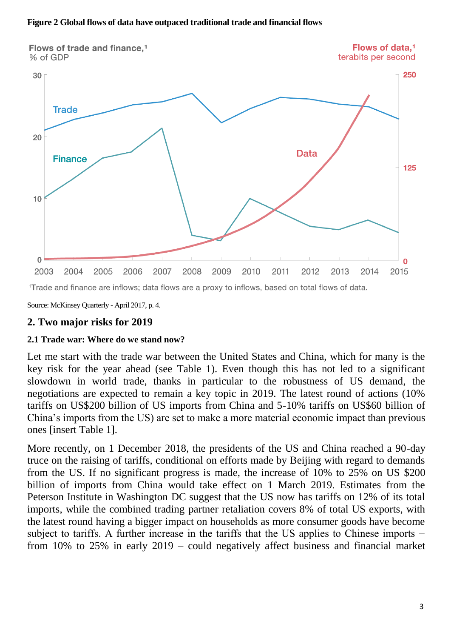#### **Figure 2 Global flows of data have outpaced traditional trade and financial flows**



<sup>1</sup>Trade and finance are inflows; data flows are a proxy to inflows, based on total flows of data.

Source: McKinsey Quarterly - April 2017, p. 4.

#### **2. Two major risks for 2019**

#### **2.1 Trade war: Where do we stand now?**

Let me start with the trade war between the United States and China, which for many is the key risk for the year ahead (see Table 1). Even though this has not led to a significant slowdown in world trade, thanks in particular to the robustness of US demand, the negotiations are expected to remain a key topic in 2019. The latest round of actions (10% tariffs on US\$200 billion of US imports from China and 5-10% tariffs on US\$60 billion of China's imports from the US) are set to make a more material economic impact than previous ones [insert Table 1].

More recently, on 1 December 2018, the presidents of the US and China reached a 90-day truce on the raising of tariffs, conditional on efforts made by Beijing with regard to demands from the US. If no significant progress is made, the increase of 10% to 25% on US \$200 billion of imports from China would take effect on 1 March 2019. Estimates from the Peterson Institute in Washington DC suggest that the US now has tariffs on 12% of its total imports, while the combined trading partner retaliation covers 8% of total US exports, with the latest round having a bigger impact on households as more consumer goods have become subject to tariffs. A further increase in the tariffs that the US applies to Chinese imports − from 10% to 25% in early 2019 – could negatively affect business and financial market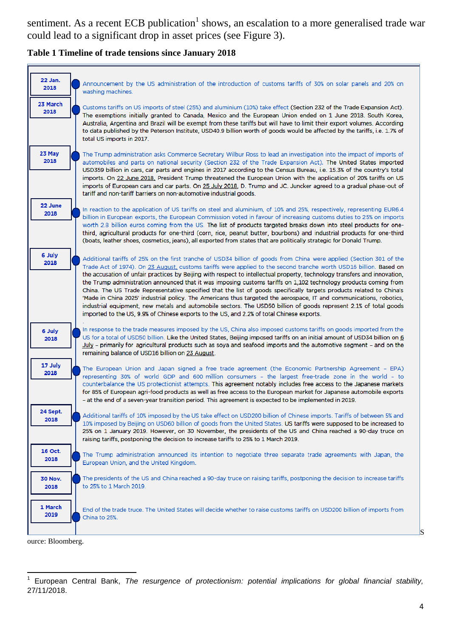sentiment. As a recent ECB publication<sup>1</sup> shows, an escalation to a more generalised trade war could lead to a significant drop in asset prices (see Figure 3).

#### **Table 1 Timeline of trade tensions since January 2018**



ource: Bloomberg.

S

 $\overline{a}$ 1 European Central Bank, *The resurgence of protectionism: potential implications for global financial stability,*  27/11/2018.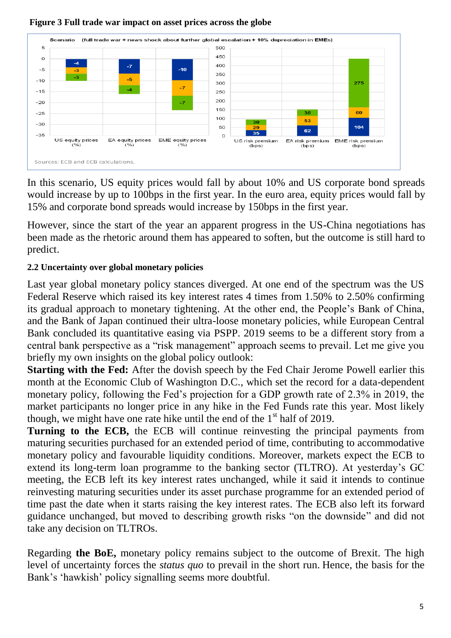

#### **Figure 3 Full trade war impact on asset prices across the globe**

In this scenario, US equity prices would fall by about 10% and US corporate bond spreads would increase by up to 100bps in the first year. In the euro area, equity prices would fall by 15% and corporate bond spreads would increase by 150bps in the first year.

However, since the start of the year an apparent progress in the US-China negotiations has been made as the rhetoric around them has appeared to soften, but the outcome is still hard to predict.

### **2.2 Uncertainty over global monetary policies**

Last year global monetary policy stances diverged. At one end of the spectrum was the US Federal Reserve which raised its key interest rates 4 times from 1.50% to 2.50% confirming its gradual approach to monetary tightening. At the other end, the People's Bank of China, and the Bank of Japan continued their ultra-loose monetary policies, while European Central Bank concluded its quantitative easing via PSPP. 2019 seems to be a different story from a central bank perspective as a "risk management" approach seems to prevail. Let me give you briefly my own insights on the global policy outlook:

**Starting with the Fed:** After the dovish speech by the Fed Chair Jerome Powell earlier this month at the Economic Club of Washington D.C., which set the record for a data-dependent monetary policy, following the Fed's projection for a GDP growth rate of 2.3% in 2019, the market participants no longer price in any hike in the Fed Funds rate this year. Most likely though, we might have one rate hike until the end of the  $1<sup>st</sup>$  half of 2019.

**Turning to the ECB,** the ECB will continue reinvesting the principal payments from maturing securities purchased for an extended period of time, contributing to accommodative monetary policy and favourable liquidity conditions. Moreover, markets expect the ECB to extend its long-term loan programme to the banking sector (TLTRO). At yesterday's GC meeting, the ECB left its key interest rates unchanged, while it said it intends to continue reinvesting maturing securities under its asset purchase programme for an extended period of time past the date when it starts raising the key interest rates. The ECB also left its forward guidance unchanged, but moved to describing growth risks "on the downside" and did not take any decision on TLTROs.

Regarding **the BoE,** monetary policy remains subject to the outcome of Brexit. The high level of uncertainty forces the *status quo* to prevail in the short run. Hence, the basis for the Bank's 'hawkish' policy signalling seems more doubtful.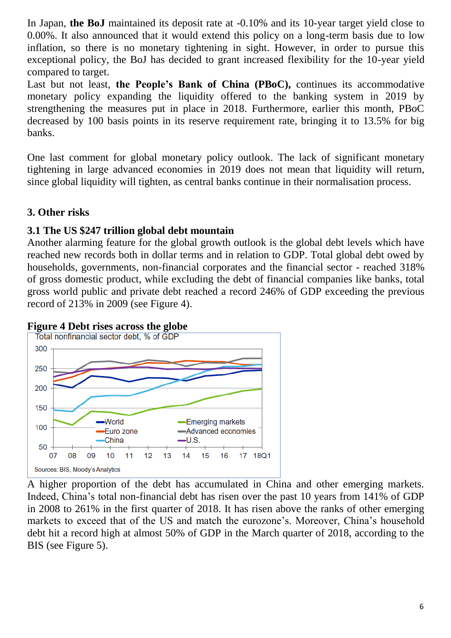In Japan, **the BoJ** maintained its deposit rate at -0.10% and its 10-year target yield close to 0.00%. It also announced that it would extend this policy on a long-term basis due to low inflation, so there is no monetary tightening in sight. However, in order to pursue this exceptional policy, the BoJ has decided to grant increased flexibility for the 10-year yield compared to target.

Last but not least, **the People's Bank of China (PBoC),** continues its accommodative monetary policy expanding the liquidity offered to the banking system in 2019 by strengthening the measures put in place in 2018. Furthermore, earlier this month, PBoC decreased by 100 basis points in its reserve requirement rate, bringing it to 13.5% for big banks.

One last comment for global monetary policy outlook. The lack of significant monetary tightening in large advanced economies in 2019 does not mean that liquidity will return, since global liquidity will tighten, as central banks continue in their normalisation process.

# **3. Other risks**

# **3.1 The US \$247 trillion global debt mountain**

Another alarming feature for the global [growth outlook](https://www.bloomberg.com/news/terminal/P7ACF1T1UM0X) is the global debt levels which have reached new records both in dollar terms and in relation to GDP. Total global debt owed by households, governments, non-financial corporates and the financial sector - reached 318% of gross domestic product, while excluding the debt of financial companies like banks, total gross world public and private debt reached a record 246% of GDP exceeding the previous record of 213% in 2009 (see Figure 4).





A higher proportion of the debt has accumulated in China and other emerging markets. Indeed, China's total non-financial debt has risen over the past 10 years from 141% of GDP in 2008 to 261% in the first quarter of 2018. It has risen above the ranks of other emerging markets to exceed that of the US and match the eurozone's. Moreover, China's household debt hit a record high at almost 50% of GDP in the March quarter of 2018, according to the BIS (see Figure 5).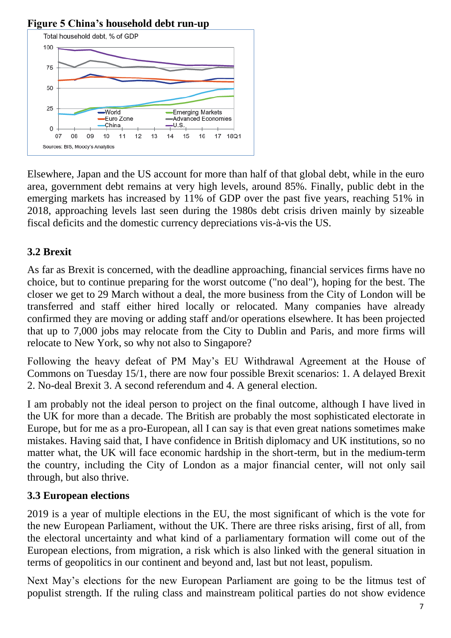

# **Figure 5 China's household debt run-up**

Elsewhere, Japan and the US account for more than half of that global debt, while in the euro area, government debt remains at very high levels, around 85%. Finally, public debt in the emerging markets has increased by 11% of GDP over the past five years, reaching 51% in 2018, approaching levels last seen during the 1980s debt crisis driven mainly by sizeable fiscal deficits and the domestic currency depreciations vis-à-vis the US.

# **3.2 Brexit**

As far as Brexit is concerned, with the deadline approaching, financial services firms have no choice, but to continue preparing for the worst outcome ("no deal"), hoping for the best. The closer we get to 29 March without a deal, the more business from the City of London will be transferred and staff either hired locally or relocated. Many companies have already confirmed they are moving or adding staff and/or operations elsewhere. It has been projected that up to 7,000 jobs may relocate from the City to Dublin and Paris, and more firms will relocate to New York, so why not also to Singapore?

Following the heavy defeat of PM May's EU Withdrawal Agreement at the House of Commons on Tuesday 15/1, there are now four possible Brexit scenarios: 1. A delayed Brexit 2. No-deal Brexit 3. A second referendum and 4. A general election.

I am probably not the ideal person to project on the final outcome, although I have lived in the UK for more than a decade. The British are probably the most sophisticated electorate in Europe, but for me as a pro-European, all I can say is that even great nations sometimes make mistakes. Having said that, I have confidence in British diplomacy and UK institutions, so no matter what, the UK will face economic hardship in the short-term, but in the medium-term the country, including the City of London as a major financial center, will not only sail through, but also thrive.

# **3.3 European elections**

2019 is a year of multiple elections in the EU, the most significant of which is the vote for the new European Parliament, without the UK. There are three risks arising, first of all, from the electoral uncertainty and what kind of a parliamentary formation will come out of the European elections, from migration, a risk which is also linked with the general situation in terms of geopolitics in our continent and beyond and, last but not least, populism.

Next May's elections for the new European Parliament are going to be the litmus test of populist strength. If the ruling class and mainstream political parties do not show evidence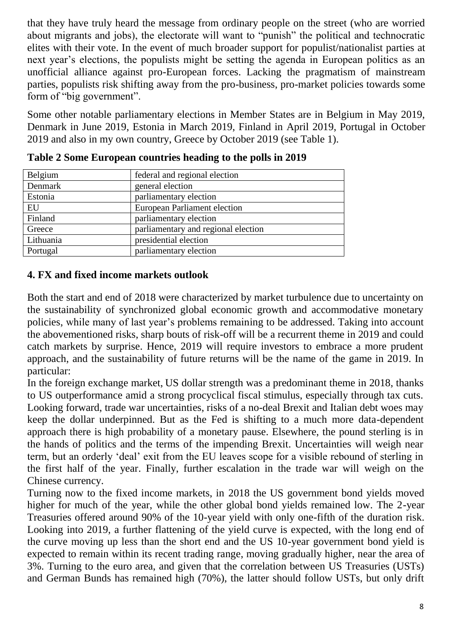that they have truly heard the message from ordinary people on the street (who are worried about migrants and jobs), the electorate will want to "punish" the political and technocratic elites with their vote. In the event of much broader support for populist/nationalist parties at next year's elections, the populists might be setting the agenda in European politics as an unofficial alliance against pro-European forces. Lacking the pragmatism of mainstream parties, populists risk shifting away from the pro-business, pro-market policies towards some form of "big government".

Some other notable parliamentary elections in Member States are in Belgium in May 2019, Denmark in [June 2019,](https://en.wikipedia.org/wiki/Next_Danish_general_election) Estonia in [March 2019,](https://en.wikipedia.org/wiki/Estonian_parliamentary_election,_2019) Finland in [April 2019,](https://en.wikipedia.org/wiki/Next_Finnish_parliamentary_election) Portugal in October 2019 and also in my own country, Greece by October 2019 (see Table 1).

| Belgium   | federal and regional election       |
|-----------|-------------------------------------|
| Denmark   | general election                    |
| Estonia   | parliamentary election              |
| EU        | European Parliament election        |
| Finland   | parliamentary election              |
| Greece    | parliamentary and regional election |
| Lithuania | presidential election               |
| Portugal  | parliamentary election              |

**Table 2 Some European countries heading to the polls in 2019**

# **4. FX and fixed income markets outlook**

Both the start and end of 2018 were characterized by market turbulence due to uncertainty on the sustainability of synchronized global economic growth and accommodative monetary policies, while many of last year's problems remaining to be addressed. Taking into account the abovementioned risks, sharp bouts of risk-off will be a recurrent theme in 2019 and could catch markets by surprise. Hence, 2019 will require investors to embrace a more prudent approach, and the sustainability of future returns will be the name of the game in 2019. In particular:

In the foreign exchange market, US dollar strength was a predominant theme in 2018, thanks to US outperformance amid a strong procyclical fiscal stimulus, especially through tax cuts. Looking forward, trade war uncertainties, risks of a no-deal Brexit and Italian debt woes may keep the dollar underpinned. But as the Fed is shifting to a much more data-dependent approach there is high probability of a monetary pause. Elsewhere, the pound sterling is in the hands of politics and the terms of the impending Brexit. Uncertainties will weigh near term, but an orderly 'deal' exit from the EU leaves scope for a visible rebound of sterling in the first half of the year. Finally, further escalation in the trade war will weigh on the Chinese currency.

Turning now to the fixed income markets, in 2018 the US government bond yields moved higher for much of the year, while the other global bond yields remained low. The 2-year Treasuries offered around 90% of the 10-year yield with only one-fifth of the duration risk. Looking into 2019, a further flattening of the yield curve is expected, with the long end of the curve moving up less than the short end and the US 10-year government bond yield is expected to remain within its recent trading range, moving gradually higher, near the area of 3%. Turning to the euro area, and given that the correlation between US Treasuries (USTs) and German Bunds has remained high (70%), the latter should follow USTs, but only drift